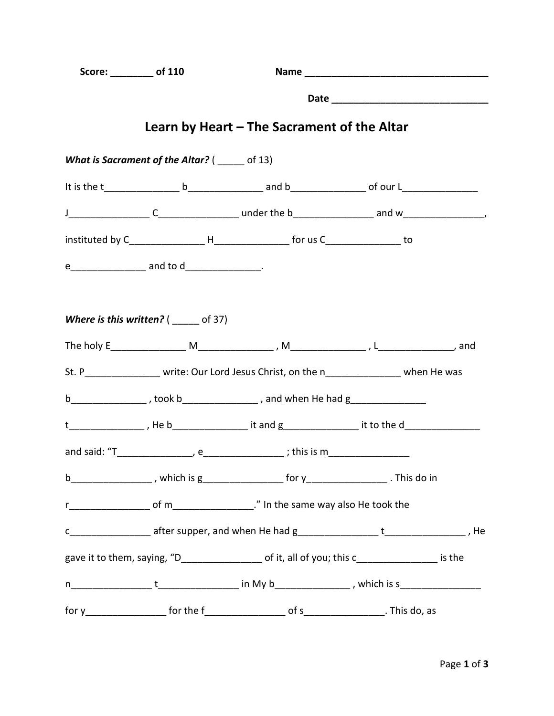| Score: __________ of 110 |                                               |                                                                                                       |  |
|--------------------------|-----------------------------------------------|-------------------------------------------------------------------------------------------------------|--|
|                          |                                               |                                                                                                       |  |
|                          |                                               | Learn by Heart – The Sacrament of the Altar                                                           |  |
|                          | What is Sacrament of the Altar? ( ____ of 13) |                                                                                                       |  |
|                          |                                               |                                                                                                       |  |
|                          |                                               |                                                                                                       |  |
|                          |                                               |                                                                                                       |  |
|                          |                                               |                                                                                                       |  |
|                          | Where is this written? $($ _____ of 37)       |                                                                                                       |  |
|                          |                                               | St. P________________ write: Our Lord Jesus Christ, on the n_______________ when He was               |  |
|                          |                                               | b__________________, took b_________________, and when He had g_________________                      |  |
|                          |                                               | t_________________, He b___________________ it and g__________________ it to the d_________________   |  |
|                          |                                               |                                                                                                       |  |
|                          |                                               |                                                                                                       |  |
|                          |                                               |                                                                                                       |  |
|                          |                                               |                                                                                                       |  |
|                          |                                               | gave it to them, saying, "D______________________ of it, all of you; this c___________________ is the |  |
|                          |                                               |                                                                                                       |  |
|                          |                                               |                                                                                                       |  |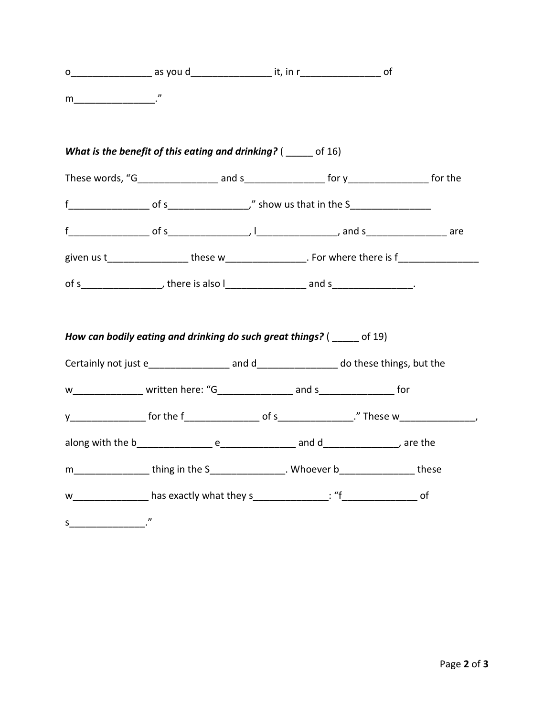|                                                                                                                                  | What is the benefit of this eating and drinking? ( ____ of 16)                                      |  |  |
|----------------------------------------------------------------------------------------------------------------------------------|-----------------------------------------------------------------------------------------------------|--|--|
|                                                                                                                                  | These words, "G____________________ and s___________________ for y__________________ for the        |  |  |
|                                                                                                                                  |                                                                                                     |  |  |
|                                                                                                                                  |                                                                                                     |  |  |
|                                                                                                                                  | given us t___________________these w__________________. For where there is f_______________________ |  |  |
|                                                                                                                                  | of s___________________, there is also l___________________ and s_________________.                 |  |  |
|                                                                                                                                  | How can bodily eating and drinking do such great things? ( of 19)                                   |  |  |
|                                                                                                                                  | w________________ written here: "G_______________ and s________________ for                         |  |  |
|                                                                                                                                  |                                                                                                     |  |  |
|                                                                                                                                  |                                                                                                     |  |  |
|                                                                                                                                  | m_________________thing in the S________________. Whoever b________________these                    |  |  |
|                                                                                                                                  |                                                                                                     |  |  |
| $s$ $\overline{\phantom{a}}$ $\overline{\phantom{a}}$ $\overline{\phantom{a}}$ $\overline{\phantom{a}}$ $\overline{\phantom{a}}$ |                                                                                                     |  |  |